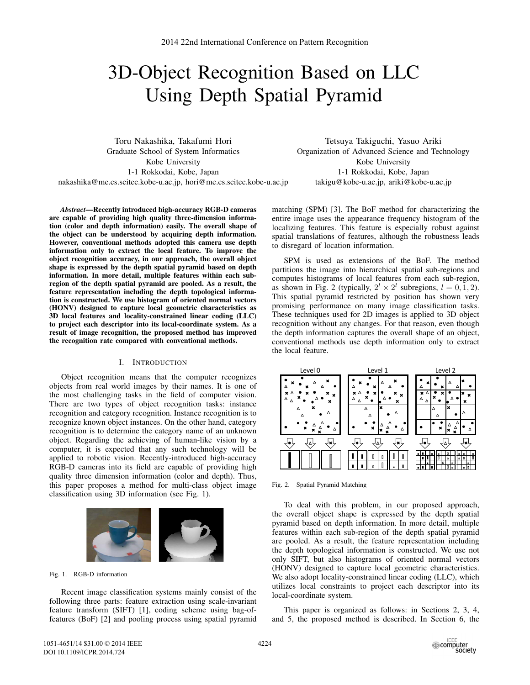# 3D-Object Recognition Based on LLC Using Depth Spatial Pyramid

Toru Nakashika, Takafumi Hori Graduate School of System Informatics Kobe University 1-1 Rokkodai, Kobe, Japan nakashika@me.cs.scitec.kobe-u.ac.jp, hori@me.cs.scitec.kobe-u.ac.jp

Tetsuya Takiguchi, Yasuo Ariki Organization of Advanced Science and Technology Kobe University 1-1 Rokkodai, Kobe, Japan takigu@kobe-u.ac.jp, ariki@kobe-u.ac.jp

*Abstract*—Recently introduced high-accuracy RGB-D cameras are capable of providing high quality three-dimension information (color and depth information) easily. The overall shape of the object can be understood by acquiring depth information. However, conventional methods adopted this camera use depth information only to extract the local feature. To improve the object recognition accuracy, in our approach, the overall object shape is expressed by the depth spatial pyramid based on depth information. In more detail, multiple features within each subregion of the depth spatial pyramid are pooled. As a result, the feature representation including the depth topological information is constructed. We use histogram of oriented normal vectors (HONV) designed to capture local geometric characteristics as 3D local features and locality-constrained linear coding (LLC) to project each descriptor into its local-coordinate system. As a result of image recognition, the proposed method has improved the recognition rate compared with conventional methods.

#### I. INTRODUCTION

Object recognition means that the computer recognizes objects from real world images by their names. It is one of the most challenging tasks in the field of computer vision. There are two types of object recognition tasks: instance recognition and category recognition. Instance recognition is to recognize known object instances. On the other hand, category recognition is to determine the category name of an unknown object. Regarding the achieving of human-like vision by a computer, it is expected that any such technology will be applied to robotic vision. Recently-introduced high-accuracy RGB-D cameras into its field are capable of providing high quality three dimension information (color and depth). Thus, this paper proposes a method for multi-class object image classification using 3D information (see Fig. 1).



Fig. 1. RGB-D information

Recent image classification systems mainly consist of the following three parts: feature extraction using scale-invariant feature transform (SIFT) [1], coding scheme using bag-offeatures (BoF) [2] and pooling process using spatial pyramid matching (SPM) [3]. The BoF method for characterizing the entire image uses the appearance frequency histogram of the localizing features. This feature is especially robust against spatial translations of features, although the robustness leads to disregard of location information.

SPM is used as extensions of the BoF. The method partitions the image into hierarchical spatial sub-regions and computes histograms of local features from each sub-region, as shown in Fig. 2 (typically,  $2^l \times 2^l$  subregions,  $l = 0, 1, 2$ ). This spatial pyramid restricted by position has shown very promising performance on many image classification tasks. These techniques used for 2D images is applied to 3D object recognition without any changes. For that reason, even though the depth information captures the overall shape of an object, conventional methods use depth information only to extract the local feature.



Fig. 2. Spatial Pyramid Matching

To deal with this problem, in our proposed approach, the overall object shape is expressed by the depth spatial pyramid based on depth information. In more detail, multiple features within each sub-region of the depth spatial pyramid are pooled. As a result, the feature representation including the depth topological information is constructed. We use not only SIFT, but also histograms of oriented normal vectors (HONV) designed to capture local geometric characteristics. We also adopt locality-constrained linear coding (LLC), which utilizes local constraints to project each descriptor into its local-coordinate system.

This paper is organized as follows: in Sections 2, 3, 4, and 5, the proposed method is described. In Section 6, the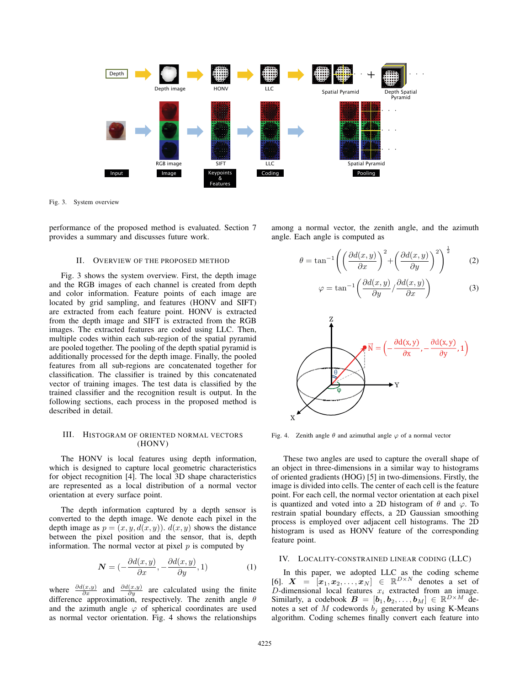

Fig. 3. System overview

performance of the proposed method is evaluated. Section 7 provides a summary and discusses future work.

# II. OVERVIEW OF THE PROPOSED METHOD

Fig. 3 shows the system overview. First, the depth image and the RGB images of each channel is created from depth and color information. Feature points of each image are located by grid sampling, and features (HONV and SIFT) are extracted from each feature point. HONV is extracted from the depth image and SIFT is extracted from the RGB images. The extracted features are coded using LLC. Then, multiple codes within each sub-region of the spatial pyramid are pooled together. The pooling of the depth spatial pyramid is additionally processed for the depth image. Finally, the pooled features from all sub-regions are concatenated together for classification. The classifier is trained by this concatenated vector of training images. The test data is classified by the trained classifier and the recognition result is output. In the following sections, each process in the proposed method is described in detail.

# III. HISTOGRAM OF ORIENTED NORMAL VECTORS (HONV)

The HONV is local features using depth information, which is designed to capture local geometric characteristics for object recognition [4]. The local 3D shape characteristics are represented as a local distribution of a normal vector orientation at every surface point.

The depth information captured by a depth sensor is converted to the depth image. We denote each pixel in the depth image as  $p = (x, y, d(x, y))$ .  $d(x, y)$  shows the distance between the pixel position and the sensor, that is, depth information. The normal vector at pixel *p* is computed by

$$
\mathbf{N} = (-\frac{\partial d(x, y)}{\partial x}, -\frac{\partial d(x, y)}{\partial y}, 1) \tag{1}
$$

where  $\frac{\partial d(x,y)}{\partial x}$  and  $\frac{\partial d(x,y)}{\partial y}$  are calculated using the finite difference approximation, respectively. The zenith angle *θ* and the azimuth angle  $\varphi$  of spherical coordinates are used as normal vector orientation. Fig. 4 shows the relationships

among a normal vector, the zenith angle, and the azimuth angle. Each angle is computed as

$$
\theta = \tan^{-1} \left( \left( \frac{\partial d(x, y)}{\partial x} \right)^2 + \left( \frac{\partial d(x, y)}{\partial y} \right)^2 \right)^{\frac{1}{2}} \tag{2}
$$

$$
\varphi = \tan^{-1}\left(\frac{\partial d(x, y)}{\partial y} / \frac{\partial d(x, y)}{\partial x}\right) \tag{3}
$$



Fig. 4. Zenith angle  $\theta$  and azimuthal angle  $\varphi$  of a normal vector

These two angles are used to capture the overall shape of an object in three-dimensions in a similar way to histograms of oriented gradients (HOG) [5] in two-dimensions. Firstly, the image is divided into cells. The center of each cell is the feature point. For each cell, the normal vector orientation at each pixel is quantized and voted into a 2D histogram of  $\theta$  and  $\varphi$ . To restrain spatial boundary effects, a 2D Gaussian smoothing process is employed over adjacent cell histograms. The 2D histogram is used as HONV feature of the corresponding feature point.

# IV. LOCALITY-CONSTRAINED LINEAR CODING (LLC)

In this paper, we adopted LLC as the coding scheme  $[6]$ .  $X = [\mathbf{x}_1, \mathbf{x}_2, \dots, \mathbf{x}_N] \in \mathbb{R}^{D \times N}$  denotes a set of *D*-dimensional local features *x<sup>i</sup>* extracted from an image. Similarly, a codebook  $\mathbf{B} = [\mathbf{b}_1, \mathbf{b}_2, \dots, \mathbf{b}_M] \in \mathbb{R}^{D \times M}$  denotes a set of  $M$  codewords  $b_j$  generated by using K-Means algorithm. Coding schemes finally convert each feature into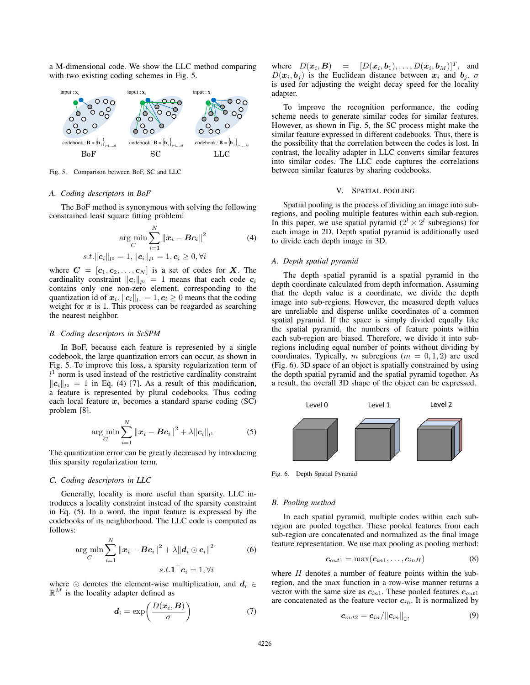a M-dimensional code. We show the LLC method comparing with two existing coding schemes in Fig. 5.



Fig. 5. Comparison between BoF, SC and LLC

#### *A. Coding descriptors in BoF*

The BoF method is synonymous with solving the following constrained least square fitting problem:

$$
\argmin_{C} \sum_{i=1}^{N} \|\boldsymbol{x}_i - \boldsymbol{B}\boldsymbol{c}_i\|^2
$$
\n
$$
s.t. \|\boldsymbol{c}_i\|_{l^0} = 1, \|\boldsymbol{c}_i\|_{l^1} = 1, \boldsymbol{c}_i \ge 0, \forall i
$$
\n(4)

where  $C = [c_1, c_2, \ldots, c_N]$  is a set of codes for *X*. The cardinality constraint  $||c_i||_{l^0} = 1$  means that each code  $c_i$ contains only one non-zero element, corresponding to the quantization id of  $x_i$ .  $||c_i||_{l^1} = 1, c_i \geq 0$  means that the coding weight for  $x$  is 1. This process can be reagarded as searching the nearest neighbor.

#### *B. Coding descriptors in ScSPM*

In BoF, because each feature is represented by a single codebook, the large quantization errors can occur, as shown in Fig. 5. To improve this loss, a sparsity regularization term of  $l<sup>1</sup>$  norm is used instead of the restrictive cardinality constraint  $||c_i||_{l^0} = 1$  in Eq. (4) [7]. As a result of this modification, a feature is represented by plural codebooks. Thus coding each local feature  $x_i$  becomes a standard sparse coding (SC) problem [8].

$$
\arg\min_{C} \sum_{i=1}^{N} ||\boldsymbol{x}_{i} - \boldsymbol{B}\boldsymbol{c}_{i}||^{2} + \lambda ||\boldsymbol{c}_{i}||_{l^{1}}
$$
(5)

The quantization error can be greatly decreased by introducing this sparsity regularization term.

# *C. Coding descriptors in LLC*

Generally, locality is more useful than sparsity. LLC introduces a locality constraint instead of the sparsity constraint in Eq. (5). In a word, the input feature is expressed by the codebooks of its neighborhood. The LLC code is computed as follows:

$$
\arg\min_{C} \sum_{i=1}^{N} ||\boldsymbol{x}_i - \boldsymbol{B}\boldsymbol{c}_i||^2 + \lambda ||\boldsymbol{d}_i \odot \boldsymbol{c}_i||^2
$$
\n
$$
s.t. \mathbf{1}^\top \boldsymbol{c}_i = 1, \forall i
$$
\n(6)

where  $\odot$  denotes the element-wise multiplication, and  $d_i \in$  $\mathbb{R}^M$  is the locality adapter defined as

$$
d_i = \exp\left(\frac{D(x_i, B)}{\sigma}\right) \tag{7}
$$

where  $D(\boldsymbol{x}_i, \boldsymbol{B}) = [D(\boldsymbol{x}_i, \boldsymbol{b}_1), \dots, D(\boldsymbol{x}_i, \boldsymbol{b}_M)]^T$ , and  $D(x_i, b_i)$  is the Euclidean distance between  $x_i$  and  $b_i$ .  $\sigma$ is used for adjusting the weight decay speed for the locality adapter.

To improve the recognition performance, the coding scheme needs to generate similar codes for similar features. However, as shown in Fig. 5, the SC process might make the similar feature expressed in different codebooks. Thus, there is the possibility that the correlation between the codes is lost. In contrast, the locality adapter in LLC converts similar features into similar codes. The LLC code captures the correlations between similar features by sharing codebooks.

# V. SPATIAL POOLING

Spatial pooling is the process of dividing an image into subregions, and pooling multiple features within each sub-region. In this paper, we use spatial pyramid  $(2^l \times 2^l$  subregions) for each image in 2D. Depth spatial pyramid is additionally used to divide each depth image in 3D.

### *A. Depth spatial pyramid*

The depth spatial pyramid is a spatial pyramid in the depth coordinate calculated from depth information. Assuming that the depth value is a coordinate, we divide the depth image into sub-regions. However, the measured depth values are unreliable and disperse unlike coordinates of a common spatial pyramid. If the space is simply divided equally like the spatial pyramid, the numbers of feature points within each sub-region are biased. Therefore, we divide it into subregions including equal number of points without dividing by coordinates. Typically, *m* subregions ( $m = 0, 1, 2$ ) are used (Fig. 6). 3D space of an object is spatially constrained by using the depth spatial pyramid and the spatial pyramid together. As a result, the overall 3D shape of the object can be expressed.



Fig. 6. Depth Spatial Pyramid

#### *B. Pooling method*

In each spatial pyramid, multiple codes within each subregion are pooled together. These pooled features from each sub-region are concatenated and normalized as the final image feature representation. We use max pooling as pooling method:

$$
c_{out1} = \max(c_{in1}, \ldots, c_{inH})
$$
 (8)

where *H* denotes a number of feature points within the subregion, and the max function in a row-wise manner returns a vector with the same size as *cin*1. These pooled features *cout*<sup>1</sup> are concatenated as the feature vector  $c_{in}$ . It is normalized by

$$
\boldsymbol{c}_{out2} = \boldsymbol{c}_{in} / ||\boldsymbol{c}_{in}||_2. \tag{9}
$$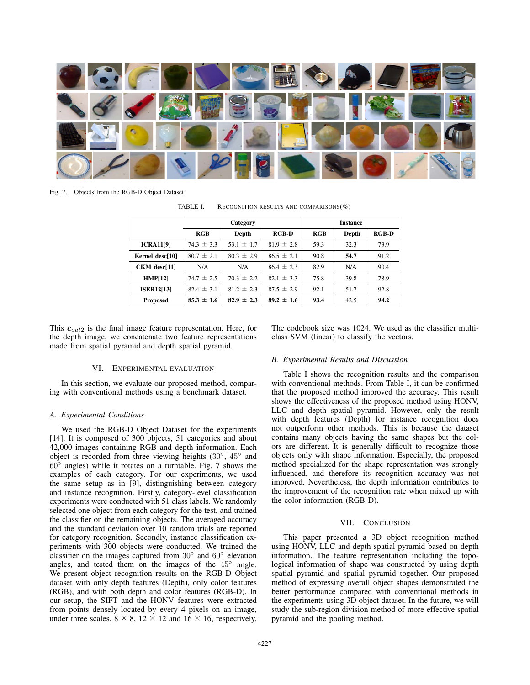

Fig. 7. Objects from the RGB-D Object Dataset

| TABLE I. | RECOGNITION RESULTS AND COMPARISONS $(\%)$ |  |
|----------|--------------------------------------------|--|
|          |                                            |  |

|                   | Category       |                |                | <b>Instance</b> |       |         |
|-------------------|----------------|----------------|----------------|-----------------|-------|---------|
|                   | RGB            | Depth          | <b>RGB-D</b>   | RGB             | Depth | $RGB-D$ |
| <b>ICRA11[9]</b>  | $74.3 \pm 3.3$ | 53.1 $\pm$ 1.7 | $81.9 \pm 2.8$ | 59.3            | 32.3  | 73.9    |
| Kernel desc[10]   | $80.7 \pm 2.1$ | $80.3 \pm 2.9$ | $86.5 \pm 2.1$ | 90.8            | 54.7  | 91.2    |
| $CKM$ desc $[11]$ | N/A            | N/A            | $86.4 \pm 2.3$ | 82.9            | N/A   | 90.4    |
| HMP[12]           | $74.7 \pm 2.5$ | $70.3 \pm 2.2$ | $82.1 \pm 3.3$ | 75.8            | 39.8  | 78.9    |
| <b>ISER12[13]</b> | $82.4 \pm 3.1$ | $81.2 \pm 2.3$ | $87.5 \pm 2.9$ | 92.1            | 51.7  | 92.8    |
| <b>Proposed</b>   | $85.3 \pm 1.6$ | $82.9 \pm 2.3$ | $89.2 \pm 1.6$ | 93.4            | 42.5  | 94.2    |

This *cout*<sup>2</sup> is the final image feature representation. Here, for the depth image, we concatenate two feature representations made from spatial pyramid and depth spatial pyramid.

#### VI. EXPERIMENTAL EVALUATION

In this section, we evaluate our proposed method, comparing with conventional methods using a benchmark dataset.

## *A. Experimental Conditions*

We used the RGB-D Object Dataset for the experiments [14]. It is composed of 300 objects, 51 categories and about 42,000 images containing RGB and depth information. Each object is recorded from three viewing heights (30◦, 45◦ and <sup>60</sup>◦ angles) while it rotates on a turntable. Fig. 7 shows the examples of each category. For our experiments, we used the same setup as in [9], distinguishing between category and instance recognition. Firstly, category-level classification experiments were conducted with 51 class labels. We randomly selected one object from each category for the test, and trained the classifier on the remaining objects. The averaged accuracy and the standard deviation over 10 random trials are reported for category recognition. Secondly, instance classification experiments with 300 objects were conducted. We trained the classifier on the images captured from <sup>30</sup>◦ and 60◦ elevation angles, and tested them on the images of the 45<sup>°</sup> angle. We present object recognition results on the RGB-D Object dataset with only depth features (Depth), only color features (RGB), and with both depth and color features (RGB-D). In our setup, the SIFT and the HONV features were extracted from points densely located by every 4 pixels on an image, under three scales,  $8 \times 8$ ,  $12 \times 12$  and  $16 \times 16$ , respectively.

The codebook size was 1024. We used as the classifier multiclass SVM (linear) to classify the vectors.

#### *B. Experimental Results and Discussion*

Table I shows the recognition results and the comparison with conventional methods. From Table I, it can be confirmed that the proposed method improved the accuracy. This result shows the effectiveness of the proposed method using HONV, LLC and depth spatial pyramid. However, only the result with depth features (Depth) for instance recognition does not outperform other methods. This is because the dataset contains many objects having the same shapes but the colors are different. It is generally difficult to recognize those objects only with shape information. Especially, the proposed method specialized for the shape representation was strongly influenced, and therefore its recognition accuracy was not improved. Nevertheless, the depth information contributes to the improvement of the recognition rate when mixed up with the color information (RGB-D).

## VII. CONCLUSION

This paper presented a 3D object recognition method using HONV, LLC and depth spatial pyramid based on depth information. The feature representation including the topological information of shape was constructed by using depth spatial pyramid and spatial pyramid together. Our proposed method of expressing overall object shapes demonstrated the better performance compared with conventional methods in the experiments using 3D object dataset. In the future, we will study the sub-region division method of more effective spatial pyramid and the pooling method.